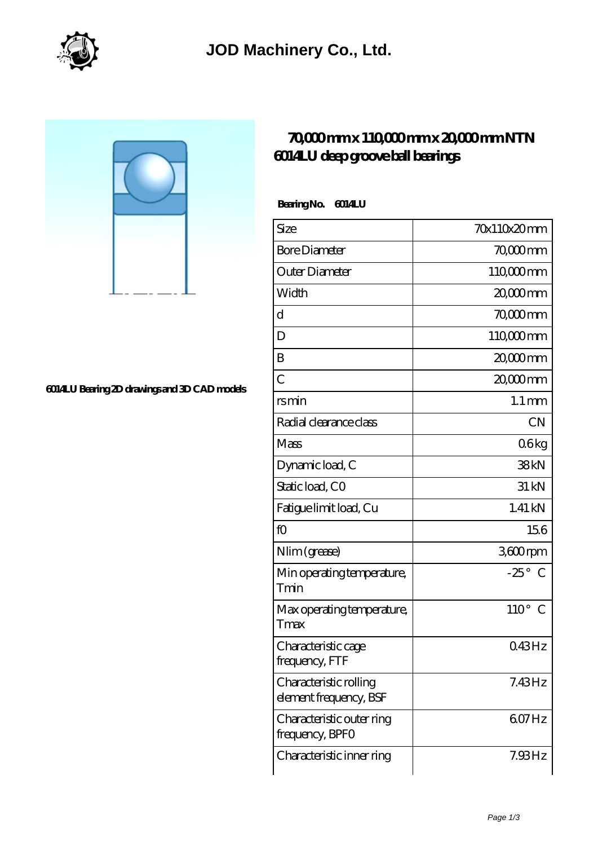

## **[6014LU Bearing 2D drawings and 3D CAD models](https://m.virtual-solution.net/pic-65145006.html)**

## **[70,000 mm x 110,000 mm x 20,000 mm NTN](https://m.virtual-solution.net/ntn-6014lu-bearing/) [6014LU deep groove ball bearings](https://m.virtual-solution.net/ntn-6014lu-bearing/)**

 **Bearing No. 6014LU**

| Size                                             | 70x110x20mm           |
|--------------------------------------------------|-----------------------|
| <b>Bore Diameter</b>                             | 70,000 mm             |
| Outer Diameter                                   | 110 <sub>c</sub> comm |
| Width                                            | $2000$ mm             |
| d                                                | 70,000 mm             |
| D                                                | 110000mm              |
| B                                                | 20,000mm              |
| $\overline{C}$                                   | 20,000mm              |
| rsmin                                            | $1.1 \,\mathrm{mm}$   |
| Radial clearance class                           | <b>CN</b>             |
| Mass                                             | 06kg                  |
| Dynamic load, C                                  | 38kN                  |
| Static load, CO                                  | 31 kN                 |
| Fatigue limit load, Cu                           | $1.41$ kN             |
| fO                                               | 156                   |
| Nlim (grease)                                    | 3600rpm               |
| Min operating temperature,<br>Tmin               | $-25^\circ$ C         |
| Max operating temperature,<br>Tmax               | $110^{\circ}$ C       |
| Characteristic cage<br>frequency, FTF            | 043Hz                 |
| Characteristic rolling<br>element frequency, BSF | 7.43Hz                |
| Characteristic outer ring<br>frequency, BPFO     | 607Hz                 |
| Characteristic inner ring                        | $7.93$ Hz             |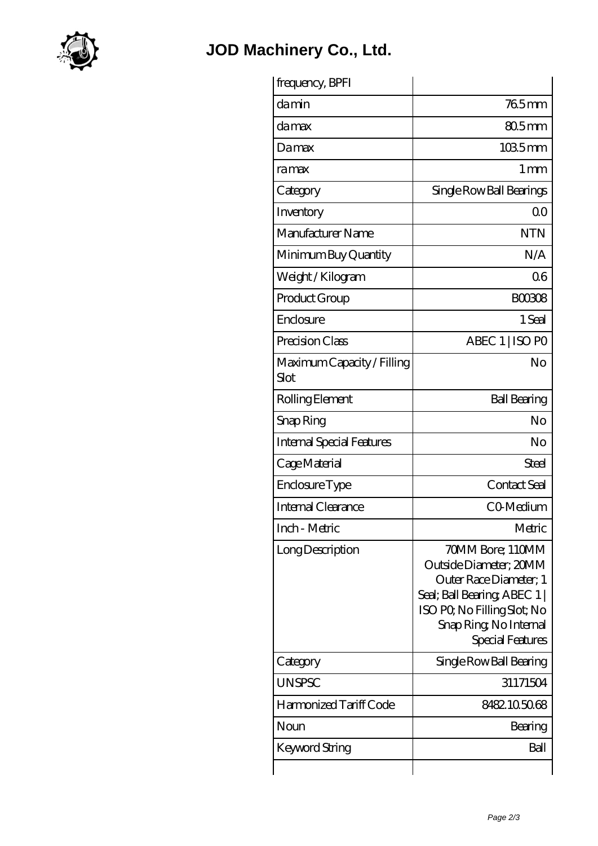

## **[JOD Machinery Co., Ltd.](https://m.virtual-solution.net)**

| frequency, BPFI                    |                                                                                                                                                                                |
|------------------------------------|--------------------------------------------------------------------------------------------------------------------------------------------------------------------------------|
| damin                              | $765$ mm                                                                                                                                                                       |
| damax                              | 80.5mm                                                                                                                                                                         |
| Damax                              | $1035$ mm                                                                                                                                                                      |
| ramax                              | 1 <sub>mm</sub>                                                                                                                                                                |
| Category                           | Single Row Ball Bearings                                                                                                                                                       |
| Inventory                          | 0 <sup>0</sup>                                                                                                                                                                 |
| Manufacturer Name                  | <b>NTN</b>                                                                                                                                                                     |
| Minimum Buy Quantity               | N/A                                                                                                                                                                            |
| Weight / Kilogram                  | 06                                                                                                                                                                             |
| Product Group                      | <b>BOO3O8</b>                                                                                                                                                                  |
| Enclosure                          | 1 Seal                                                                                                                                                                         |
| Precision Class                    | ABEC 1   ISO PO                                                                                                                                                                |
| Maximum Capacity / Filling<br>Slot | No                                                                                                                                                                             |
| Rolling Element                    | <b>Ball Bearing</b>                                                                                                                                                            |
| Snap Ring                          | No                                                                                                                                                                             |
| <b>Internal Special Features</b>   | No                                                                                                                                                                             |
| Cage Material                      | Steel                                                                                                                                                                          |
| Enclosure Type                     | Contact Seal                                                                                                                                                                   |
| <b>Internal Clearance</b>          | CO-Medium                                                                                                                                                                      |
| Inch - Metric                      | Metric                                                                                                                                                                         |
| Long Description                   | 70MM Bore; 110MM<br>Outside Diameter; 20MM<br>Outer Race Diameter; 1<br>Seal; Ball Bearing; ABEC 1<br>ISO PQ No Filling Slot; No<br>Snap Ring, No Internal<br>Special Features |
| Category                           | Single Row Ball Bearing                                                                                                                                                        |
| <b>UNSPSC</b>                      | 31171504                                                                                                                                                                       |
| Harmonized Tariff Code             | 8482105068                                                                                                                                                                     |
| Noun                               | Bearing                                                                                                                                                                        |
| Keyword String                     | Ball                                                                                                                                                                           |
|                                    |                                                                                                                                                                                |